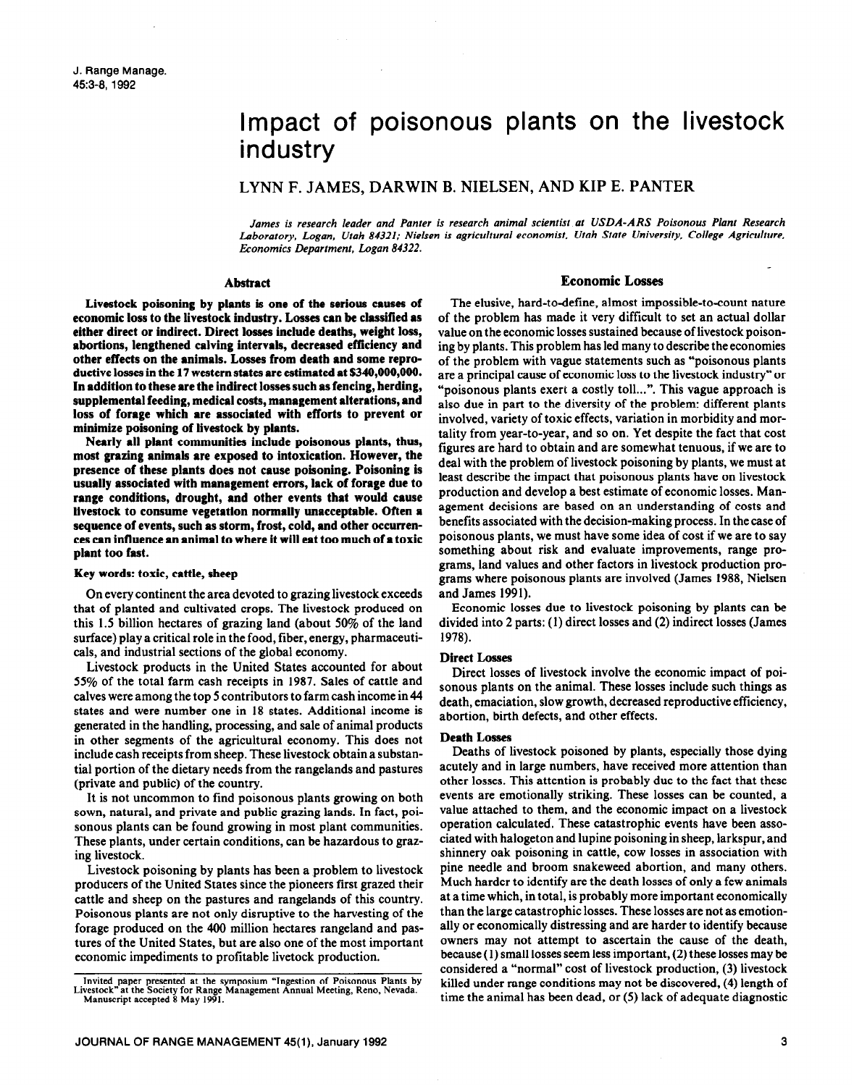# Impact of poisonous plants on the livestock industry

LYNN F. JAMES, DARWIN B. NIELSEN, AND KIP E. PANTER

*James is research leader and Panter is research animal scientist at USDA-ARS Poisonous Plant Research Laboratorv. Lonan. Utah 84321: Nielsen is agricultural economist, Utah State University. College Agriculture, Economics Dep&tMent. Logan 84322.* 

## **Abstract**

**Livestock poisoning by plants is one of the serious causes of economic loss to the livestock industry. Losses can be classified as either direct or indirect. Direct losses include deaths, weight loss, abortions, lengthened calving intervals, decreased efficiency and other effects on the animals. Losses from death and some reproductive losses in the 17 western states are estimated at S34O,OOO,OOO. In addition to these** are **the indirect** losses such as fencing, herding, supplemental feeding, medical costs, management alterations, and loss of forage which are associated with efforts to prevent or minimize poisoning of livestock by plants.

**Nearly all plant communities include poisonous plants, thus, most grazing animals** are **exposed to intoxication. However, the presence of these plants does not cause poisoning. Poisoning is usually associated with management errors, lack of forage due to range conditions, drought, and other events that would cause Livestock to consume vegetation normally unacceptable. Often a sequence of events, such as storm, frost, cold, and other occurrences can influence** an **animal to where it will eat too much of a toxic plant too fast.** 

#### **Key words: toxic, cattle, sheep**

On every continent the area devoted to grazing livestock exceeds that of planted and cultivated crops. The livestock produced on this 1.5 billion hectares of grazing land (about 50% of the land surface) play a critical role in the food, fiber, energy, pharmaceuticals, and industrial sections of the global economy.

Livestock products in the United States accounted for about 55% of the total farm cash receipts in 1987. Sales of cattle and calves were among the top 5 contributors to farm cash income in 44 states and were number one in 18 states. Additional income is generated in the handling, processing, and sale of animal products in other segments of the agricultural economy. This does not include cash receipts from sheep. These livestock obtain a substantial portion of the dietary needs from the rangelands and pastures (private and public) of the country.

It is not uncommon to find poisonous plants growing on both sown, natural, and private and public grazing lands. In fact, poisonous plants can be found growing in most plant communities. These plants, under certain conditions, can be hazardous to grazing livestock.

Livestock poisoning by plants has been a problem to livestock producers of the United States since the pioneers first grazed their cattle and sheep on the pastures and rangelands of this country. Poisonous plants are not only disruptive to the harvesting of the forage produced on the 400 million hectares rangeland and pastures of the United States, but are also one of the most important economic impediments to profitable livetock production.

#### **Economic Losses**

The elusive, hard-to-define, almost impossible-to-count nature of the problem has made it very difficult to set an actual dollar value on the economic losses sustained because of livestock poisoning by plants. This problem has led many to describe the economies of the problem with vague statements such as "poisonous plants are a principal cause of economic loss to the livestock industry" **or**  "poisonous plants exert a costly toll...'\*. This vague approach is also due in part to the diversity of the problem: different plants involved, variety of toxic effects, variation in morbidity and mortality from year-to-year, and so on. Yet despite the fact that cost figures are hard to obtain and are somewhat tenuous, if we are to deal with the problem of livestock poisoning by plants, we must at least describe the impact that poisonous plants have on livestock production and develop a best estimate of economic losses. Management decisions are based on an understanding of costs and benefits associated with the decision-making process. In the case of poisonous plants, we must have some idea of cost if we are to say something about risk and evaluate improvements, range programs, land values and other factors in livestock production programs where poisonous plants are involved (James 1988, Nielsen and James 1991).

Economic losses due to livestock poisoning by plants can be divided into 2 parts: (1) direct losses and (2) indirect losses (James 1978).

#### **Direct Losses**

Direct losses of livestock involve the economic impact of poisonous plants on the animal. These losses include such things as death, emaciation, slow growth, decreased reproductive efficiency, abortion, birth defects, and other effects.

#### **Death Losses**

Deaths of livestock poisoned by plants, especially those dying acutely and in large numbers, have received more attention than other losses. This attention is probably due to the fact that these events are emotionally striking. These losses can be counted, a value attached to them, and the economic impact on a livestock operation calculated. These catastrophic events have been associated with halogeton and lupine poisoning in sheep, larkspur, and shinnery oak poisoning in cattle, cow losses in association with pine needle and broom snakeweed abortion, and many others. Much harder to identify are the death losses of only a few animals at a time which, in total, is probably more important economically than the large catastrophic losses. These losses are not as emotionally or economically distressing and are harder to identify because owners may not attempt to ascertain the cause of the death, because (1) small losses seem less important, (2) these losses may be considered a "normal" cost of livestock production, (3) livestock killed under range conditions may not be discovered, (4) length of time the animal has been dead, or (5) lack of adequate diagnostic

Invited paper presented at the symposium "Ingestion of Poisonous Plants by Livestock" at the Society for Range Management Annual Meeting, Reno, Nevada. Manuscript accepted 8 May 1991.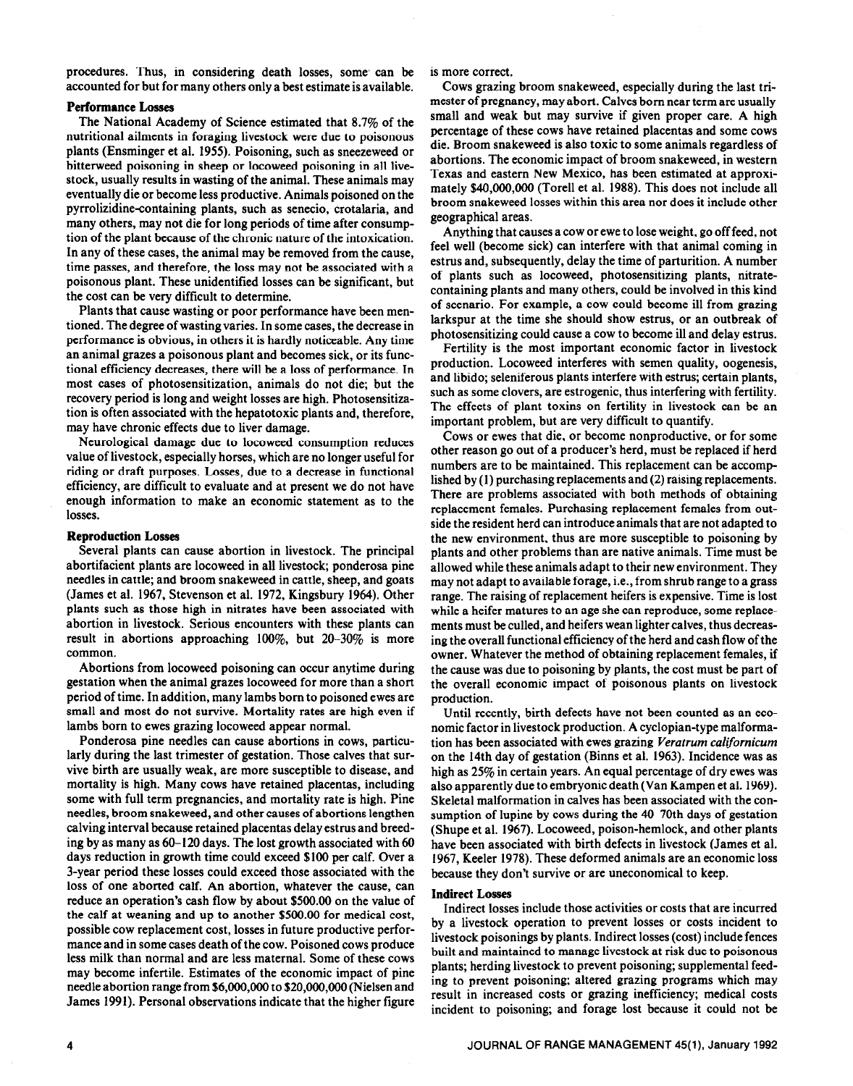procedures. Thus, in considering death losses, some' can be accounted for but for many others only a best estimate is available.

#### **Performance Losses**

**The** National Academy of Science estimated that 8.7% of the nutritional ailments in foraging livestock were due to poisonous plants (Ensminger et al. 1955). Poisoning, such as sneezeweed or bitterweed poisoning in sheep or locoweed poisoning in all livestock, usually results in wasting of the animal. These animals may eventually die or become less productive. Animals poisoned on the pyrrolizidine-containing plants, such as senecio, crotalaria, and many others, may not die for long periods of time after consumption of the plant because of the chronic nature of the intoxication. In any of these cases, the animal may be removed from the cause, time passes, and therefore, the loss may not be associated with a poisonous plant. These unidentified losses can be significant, but the cost can be very difficult to determine.

Plants that cause wasting or poor performance have been mentioned. The degree of wasting varies. In some cases, the decrease in performance is obvious, in others it is hardly noticeable. Any time an animal grazes a poisonous plant and becomes sick, or its functional efficiency decreases, there will be a loss of performance. In most cases of photosensitization, animals do not die; but the recovery period is long and weight losses are high. Photosensitization is often associated with the hepatotoxic plants and, therefore, may have chronic effects due to liver damage.

Neurological damage due to locoweed consumption reduces value of livestock, especially horses, which are no longer useful for riding or draft purposes. Losses, due to a decrease in functional efficiency, are difficult to evaluate and at present we do not have enough information to make an economic statement as to the losses.

#### **Reproduction Losses**

Several plants can cause abortion in livestock. The principal abortifacient plants are locoweed in all livestock; ponderosa pine needles in cattle; and broom snakeweed in cattle, sheep, and goats (James et al. 1967, Stevenson et al. 1972, Kingsbury 1964). Other plants such as those high in nitrates have been associated with abortion in livestock. Serious encounters with these plants can result in abortions approaching lOO%, but 20-30% is more common.

Abortions from locoweed poisoning can occur anytime during gestation when the animal grazes locoweed for more than a short period of time. In addition, many lambs born to poisoned ewes are small and most do not survive. Mortality rates are high even if lambs born to ewes grazing locoweed appear normal.

Ponderosa pine needles can cause abortions in cows, particularly during the last trimester of gestation. Those calves that survive birth are usually weak, are more susceptible to disease, and mortality is high. Many cows have retained placentas, including some with full term pregnancies, and mortality rate is high. Pine needles, broom snakeweed, and other causes of abortions lengthen calving interval because retained placentas delay estrus and breeding by as many as 60-120 days. The lost growth associated with 60 days reduction in growth time could exceed \$100 per calf. Over a 3-year period these losses could exceed those associated with the loss of one aborted calf. An abortion, whatever the cause, can reduce an operation's cash flow by about \$500.00 on the value of the calf at weaning and up to another \$500.00 for medical cost, possible cow replacement cost, losses in future productive performance and in some cases death of the cow. Poisoned cows produce less milk than normal and are less maternal. Some of these cows may become infertile. Estimates of the economic impact of pine needle abortion range from \$6,000,000 to \$20,000,000 (Nielsen and James 1991). Personal observations indicate that the higher figure is more correct.

Cows grazing broom snakeweed, especially during the last trimester of pregnancy, may abort. Calves born near term are usually small and weak but may survive if given proper care. A high percentage of these cows have retained placentas and some cows die. Broom snakeweed is also toxic to some animals regardless of abortions. The economic impact of broom snakeweed, in western Texas and eastern New Mexico, has been estimated at approximately %40,000,000 (Tore11 et al. 1988). This does not include all broom snakeweed losses within this area nor does it include other geographical areas.

Anything that causes a cow or ewe to lose weight, go off feed, not feel well (become sick) can interfere with that animal coming in estrus and, subsequently, delay the time of parturition. A number of plants such as locoweed, photosensitizing plants, nitratecontaining plants and many others, could be involved in this kind of scenario. For example, a cow could become ill from grazing larkspur at the time she should show estrus, or an outbreak of photosensitizing could cause a cow to become ill and delay estrus.

Fertility is the most important economic factor in livestock production. Locoweed interferes with semen quality, oogenesis, and libido; seleniferous plants interfere with estrus; certain plants, such as some clovers, are estrogenic, thus interfering with fertility. The effects of plant toxins on fertility in livestock can be an important problem, but are very difficult to quantify.

Cows or ewes that die, or become nonproductive, or for some other reason go out of a producer's herd, must be replaced if herd numbers are to be maintained. This replacement can be accomplished by (1) purchasing replacements and (2) raising replacements. There are problems associated with both methods of obtaining replacement females. Purchasing replacement females from outside the resident herd can introduce animals that are not adapted to the new environment, thus are more susceptible to poisoning by plants and other problems than are native animals. Time must be allowed while these animals adapt to their new environment. They may not adapt to available forage, i.e., from shrub range to a grass range. The raising of replacement heifers is expensive. Time is lost while a heifer matures to an age she can reproduce, some replacements must be culled, and heifers wean lighter calves, thus decreasing the overall functional efficiency of the herd and cash flow of the owner. Whatever the method of obtaining replacement females, if the cause was due to poisoning by plants, the cost must be part of the overall economic impact of poisonous plants on livestock production.

Until recently, birth defects have not been counted as an economic factor in livestock production. A cyclopian-type malformation has been associated with ewes grazing *Veratrum californicum*  on the 14th day of gestation (Binns et al. 1963). Incidence was as high as 25% in certain years. An equal percentage of dry ewes was also apparently due to embryonic death (Van Kampen et al. 1969). Skeletal malformation in calves has been associated with the consumption of lupine by cows during the 40-70th days of gestation (Shupe et al. 1967). Locoweed, poison-hemlock, and other plants have been associated with birth defects in livestock (James et al. 1967, Keeler 1978). These deformed animals are an economic loss because they don't survive or are uneconomical to keep.

#### **Indirect Losses**

Indirect losses include those activities or costs that are incurred by a livestock operation to prevent losses or costs incident to livestock poisonings by plants. Indirect losses (cost) include fences built and maintained to manage livestock at risk due to poisonous plants; herding livestock to prevent poisoning; supplemental feeding to prevent poisoning; altered grazing programs which may result in increased costs or grazing inefficiency; medical costs incident to poisoning; and forage lost because it could not be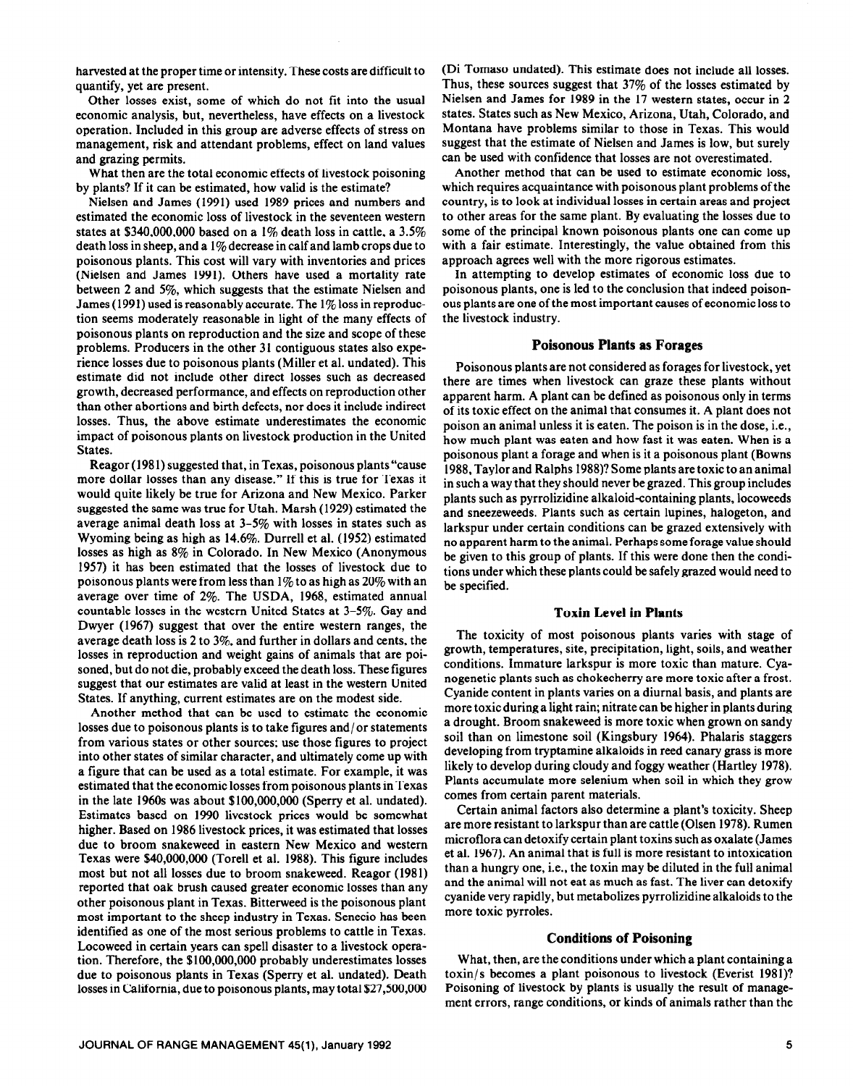harvested at the proper time or intensity. These costs are difficult to quantify, yet are present.

Other losses exist, some of which do not fit into the usual economic analysis, but, nevertheless, have effects on a livestock operation. Included in this group are adverse effects of stress on management, risk and attendant problems, effect on land values and grazing permits.

What then are the total economic effects of livestock poisoning by plants? If it can be estimated, how valid is the estimate?

Nielsen and James (1991) used 1989 prices and numbers and estimated the economic loss of livestock in the seventeen western states at \$340,000,000 based on a  $1\%$  death loss in cattle, a 3.5% death loss in sheep, and a 1% decrease in calf and lamb crops due to poisonous plants. This cost will vary with inventories and prices (Nielsen and James 1991). Others have used a mortality rate between 2 and 5%, which suggests that the estimate Nielsen and James (1991) used is reasonably accurate. The  $1\%$  loss in reproduction seems moderately reasonable in light of the many effects of poisonous plants on reproduction and the size and scope of these problems. Producers in the other 31 contiguous states also experience losses due to poisonous plants (Miller et al. undated). This estimate did not include other direct losses such as decreased growth, decreased performance, and effects on reproduction other than other abortions and birth defects, nor does it include indirect losses. Thus, the above estimate underestimates the economic impact of poisonous plants on livestock production in the United States.

Reagor (198 1) suggested that, in Texas, poisonous plants "cause more dollar losses than any disease." If this is true for Texas it would quite likely be true for Arizona and New Mexico. Parker suggested the same was true for Utah. Marsh (1929) estimated the average animal death loss at  $3-5\%$  with losses in states such as Wyoming being as high as 14.6%. Durrell et al. (1952) estimated losses as high as 8% in Colorado. In New Mexico (Anonymous 1957) it has been estimated that the losses of livestock due to poisonous plants were from less than  $1\%$  to as high as 20% with an average over time of 2%. The USDA, 1968, estimated annual countable losses in the western United States at 3-5%. Gay and Dwyer (1967) suggest that over the entire western ranges, the average death loss is 2 to  $3\%$ , and further in dollars and cents, the losses in reproduction and weight gains of animals that are poisoned, but do not die, probably exceed the death loss. These figures suggest that our estimates are valid at least in the western United States. If anything, current estimates are on the modest side.

Another method that can be used to estimate the economic losses due to poisonous plants is to take figures and/or statements from various states or other sources; use those figures to project into other states of similar character, and ultimately come up with a figure that can be used as a total estimate. For example, it was estimated that the economic losses from poisonous plants in Texas in the late 1960s was about \$lOO,OOO,OOO (Sperry et al. undated). Estimates based on 1990 livestock prices would be somewhat higher. Based on 1986 livestock prices, it was estimated that losses due to broom snakeweed in eastern New Mexico and western Texas were \$40,000,000 (Tore11 et al. 1988). This figure includes most but not all losses due to broom snakeweed. Reagor (1981) reported that oak brush caused greater economic losses than any other poisonous plant in Texas. Bitterweed is the poisonous plant most important to the sheep industry in Texas. Senecio has been identified as one of the most serious problems to cattle in Texas. Locoweed in certain years can spell disaster to a livestock operation. Therefore, the \$lOO,OOO,OOO probably underestimates losses due to poisonous plants in Texas (Sperry et al. undated). Death losses in California, due to poisonous plants, may total \$27,500,000 (Di Tomaso undated). This estimate does not include all losses. Thus, these sources suggest that 37% of the losses estimated by Nielsen and James for 1989 in the 17 western states, occur in 2 states. States such as New Mexico, Arizona, Utah, Colorado, and Montana have problems similar to those in Texas. This would suggest that the estimate of Nielsen and James is low, but surely can be used with confidence that losses are not overestimated.

Another method that can be used to estimate economic loss, which requires acquaintance with poisonous plant problems of the country, is to look at individual losses in certain areas and project to other areas for the same plant. By evaluating the losses due to some of the principal known poisonous plants one can come up with a fair estimate. Interestingly, the value obtained from this approach agrees well with the more rigorous estimates.

In attempting to develop estimates of economic loss due to poisonous plants, one is led to the conclusion that indeed poisonous plants are one of the most important causes of economic loss to the livestock industry.

# **Poisonous Plants as Forages**

Poisonous plants are not considered as forages for livestock, yet there are times when livestock can graze these plants without apparent harm. A plant can be defined as poisonous only in terms of its toxic effect on the animal that consumes it. A plant does not poison an animal unless it is eaten. The poison is in the dose, i.e., how much plant was eaten and how fast it was eaten. When is a poisonous plant a forage and when is it a poisonous plant (Bowns 1988, Taylor and Ralphs 1988)? Some plants are toxic to an animal in such a way that they should never be grazed. This group includes plants such as pyrrolizidine alkaloid-containing plants, locoweeds and sneezeweeds. Plants such as certain lupines, halogeton, and larkspur under certain conditions can be grazed extensively with no apparent harm to the animal. Perhaps some forage value should be given to this group of plants. If this were done then the conditions under which these plants could be safely grazed would need to be specified.

## **Toxin Level in Plants**

The toxicity of most poisonous plants varies with stage of growth, temperatures, site, precipitation, light, soils, and weather conditions. Immature larkspur is more toxic than mature. Cyanogenetic plants such as chokecherry are more toxic after a frost. Cyanide content in plants varies on a diurnal basis, and plants are more toxic during a light rain; nitrate can be higher in plants during a drought. Broom snakeweed is more toxic when grown on sandy soil than on limestone soil (Kingsbury 1964). Phalaris staggers developing from tryptamine alkaloids in reed canary grass is more likely to develop during cloudy and foggy weather (Hartley 1978). Plants accumulate more selenium when soil in which they grow comes from certain parent materials.

Certain animal factors also determine a plant's toxicity. Sheep are more resistant to larkspur than are cattle (Olsen 1978). Rumen microflora can detoxify certain plant toxins such as oxalate (James et al. 1967). An animal that is full is more resistant to intoxication than a hungry one, i.e., the toxin may be diluted in the full animal and the animal will not eat as much as fast. The liver can detoxify cyanide very rapidly, but metabolizes pyrrolizidine alkaloids to the more toxic pyrroles.

## **Conditions of Poisoning**

What, then, are the conditions under which a plant containing a toxin/s becomes a plant poisonous to livestock (Everist 1981)? Poisoning of livestock by plants is usually the result of management errors, range conditions, or kinds of animals rather than the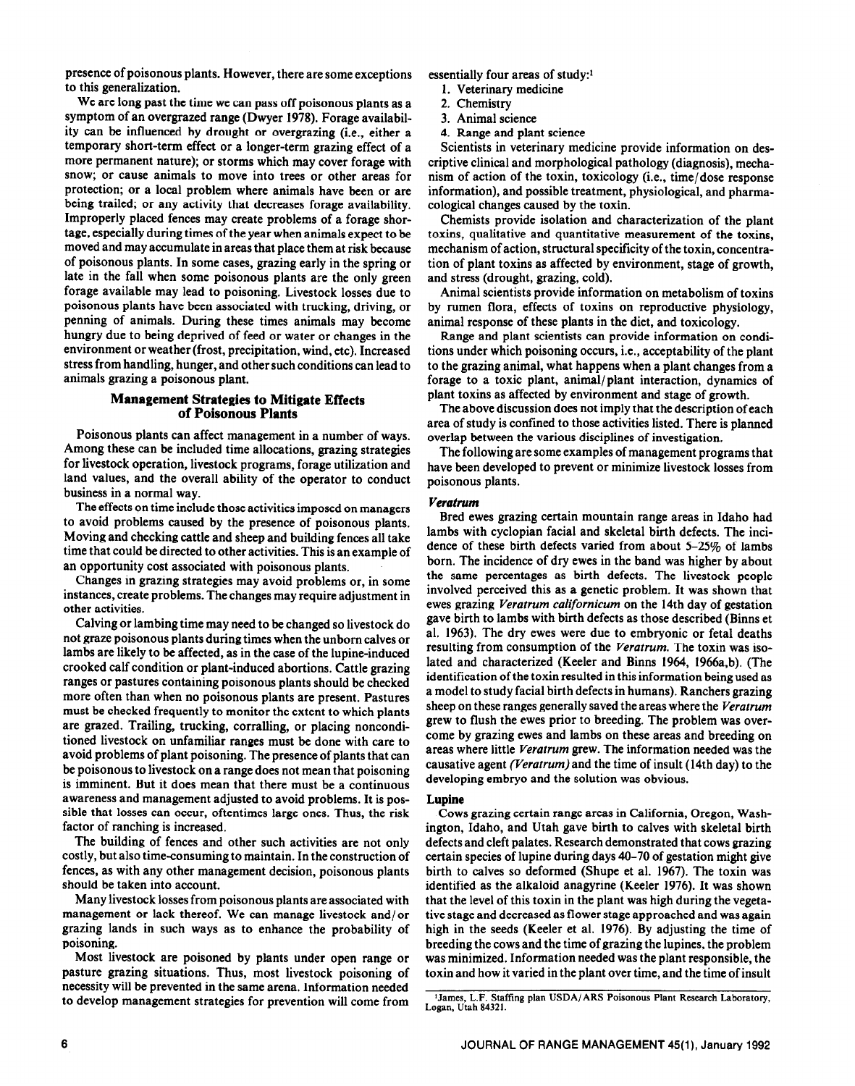presence of poisonous plants. However, there are some exceptions to this generalization.

We are long past the time we can pass off poisonous plants as a symptom of an overgrazed range (Dwyer 1978). Forage availability can be influenced by drought or overgrazing (i.e., either a temporary short-term effect or a longer-term grazing effect of a more permanent nature); or storms which may cover forage with snow; or cause animals to move into trees or other areas for protection; or a local problem where animals have been or are being trailed; or any activity that decreases forage availability. Improperly placed fences may create problems of a forage shortage, especially during times of the year when animals expect to be moved and may accumulate in areas that place them at risk because of poisonous plants. In some cases, grazing early in the spring or late in the fall when some poisonous plants are the only green forage available may lead to poisoning. Livestock losses due to poisonous plants have been associated with trucking, driving, or penning of animals. During these times animals may become hungry due to being deprived of feed or water or changes in the environment or weather (frost, precipitation, wind, etc). Increased stress from handling, hunger, and other such conditions can lead to animals grazing a poisonous plant.

## **Management Strategies to Mitigate Effects of Poisonous Plants**

Poisonous plants can affect management in a number of ways. Among these can be included time allocations, grazing strategies for livestock operation, livestock programs, forage utilization and land values, and the overall ability of the operator to conduct business in a normal way.

The effects on time include those activities imposed on managers to avoid problems caused by the presence of poisonous plants. Moving and checking cattle and sheep and building fences all take time that could be directed to other activities. This is an example of an opportunity cost associated with poisonous plants.

Changes in grazing strategies may avoid problems or, in some instances, create problems. The changes may require adjustment in other activities.

Calving or lambing time may need to be changed so livestock do not graze poisonous plants during times when the unborn calves or lambs are likely to be affected, as in the case of the lupine-induced crooked **calf** condition or plant-induced abortions. Cattle grazing ranges or pastures containing poisonous plants should be checked more often than when no poisonous plants are present. Pastures must be checked frequently to monitor the extent to which plants are grazed. Trailing, trucking, corralling, or placing nonconditioned livestock on unfamiliar ranges must be. done with care to avoid problems of plant poisoning. The presence of plants that can be poisonous to livestock on a range does not mean that poisoning is imminent. But it does mean that there must be a continuous awareness and management adjusted to avoid problems. It is possible that losses can occur, oftentimes large ones. Thus, the risk factor of ranching is increased.

The building of fences and other such activities are not only costly, but also time-consuming to maintain. In the construction of fences, as with any other management decision, poisonous plants should be taken into account.

Many livestock losses from poisonous plants are associated with management or lack thereof. We can manage livestock and/or grazing lands in such ways as to enhance the probability of poisoning.

Most livestock are poisoned by plants under open range or pasture grazing situations. Thus, most livestock poisoning of necessity will be prevented in the same arena. Information needed to develop management strategies for prevention will come from

essentially four areas of study:<sup>1</sup>

- 1. Veterinary medicine
- 2. Chemistry
- 3. Animal science
- 4. Range and plant science

Scientists in veterinary medicine provide information on descriptive clinical and morphological pathology (diagnosis), mechanism of action of the toxin, toxicology (i.e., time/dose response information), and possible treatment, physiological, and pharmacological changes caused by the toxin.

Chemists provide isolation and characterization of the plant toxins, qualitative and quantitative measurement of the toxins, mechanism of action, structural specificity of the toxin, concentration of plant toxins as affected by environment, stage of growth, and stress (drought, grazing, cold).

Animal scientists provide information on metabolism of toxins by rumen flora, effects of toxins on reproductive physiology, animal response of these plants in the diet, and toxicology.

Range and plant scientists can provide information on conditions under which poisoning occurs, i.e., acceptability of the plant to the grazing animal, what happens when a plant changes from a forage to a toxic plant, animal/plant interaction, dynamics of plant toxins as affected by environment and stage of growth.

The above discussion does not imply that the description of each area of study is confined to those activities listed. There is planned overlap between the various disciplines of investigation.

The following are some examples of management programs that have been developed to prevent or minimize livestock losses from poisonous plants.

## *Veratrum*

Bred ewes grazing certain mountain range areas in Idaho had lambs with cyclopian facial and skeletal birth defects. The incidence of these birth defects varied from about  $5-25\%$  of lambs born. The incidence of dry ewes in the band was higher by about the same percentages as birth defects. The livestock people involved perceived this as a genetic problem. It was shown that ewes grazing *Veratrum californicum* on the 14th day of gestation gave birth to lambs with birth defects as those described (Binns et al. 1963). The dry ewes were due to embryonic or fetal deaths resulting from consumption of the *Veratrum.* The toxin was isolated and characterized (Keeler and Binns 1964, 1966a,b). (The identification of the toxin resulted in this information being used as a model to study facial birth defects in humans). Ranchers grazing sheep on these ranges generally saved the areas where the *Veratrum*  grew to flush the ewes prior to breeding. The problem was overcome by grazing ewes and lambs on these areas and breeding on areas where little *Veratrum* grew. The information needed was the causative agent *(Veratrum)* and the time of insult (14th day) to the developing embryo and the solution was obvious.

#### Lupine

Cows grazing certain range areas in California, Oregon, Washington, Idaho, and Utah gave birth to calves with skeletal birth defects and cleft palates. Research demonstrated that cows grazing certain species of lupine during days 40-70 of gestation might give birth to calves so deformed (Shupe et al. 1967). The toxin was identified as the alkaloid anagyrine (Keeler 1976). It was shown that the level of this toxin in the plant was high during the vegetative stage and decreased as flower stage approached and was again high in the seeds (Keeler et al. 1976). By adjusting the time of breeding the cows and the time of grazing the lupines, the problem was minimized. Information needed was the plant responsible, the toxin and how it varied in the plant over time, and the time of insult

<sup>&#</sup>x27;James, L.F. Staffing plan USDA/ARS Poisonous Plant Research Laboratory, Logan, Utah 84321.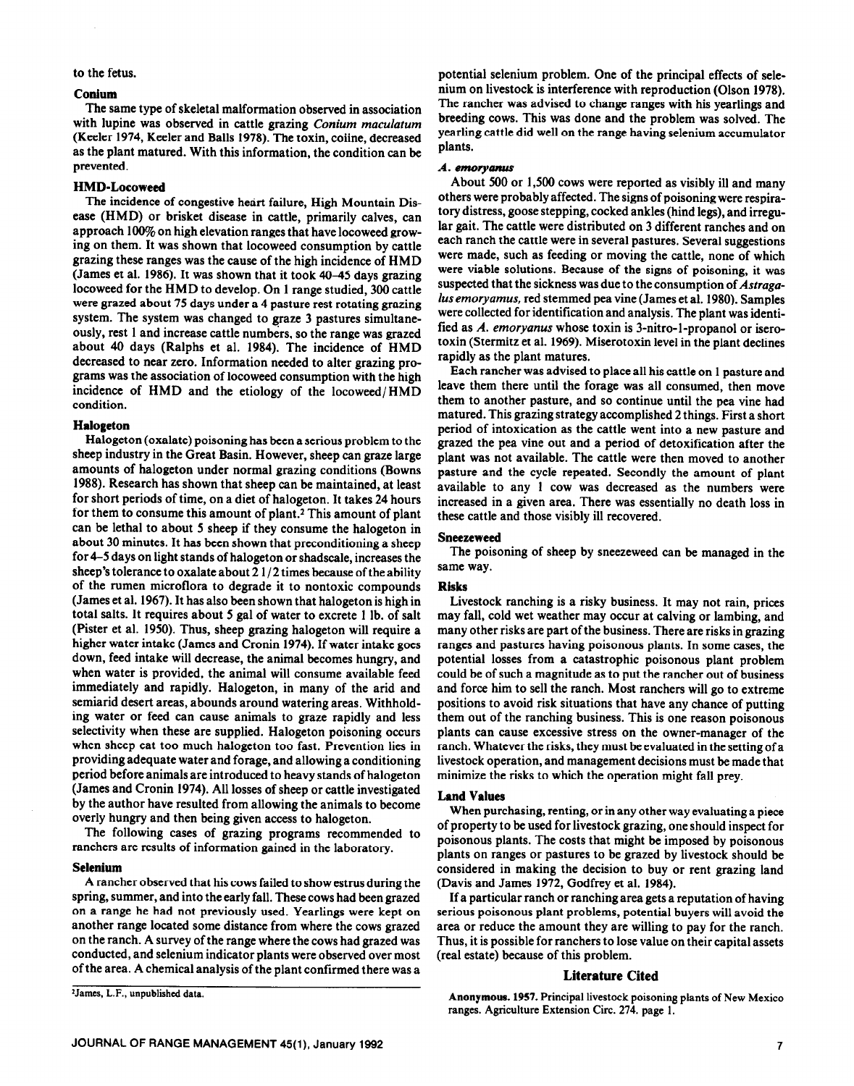to the fetus.

#### **Conium**

**The** same type of skeletal malformation observed in association with lupine was observed in cattle grazing *Conium maculatum*  (Keeler 1974, Keeler and Balls 1978). The toxin, coiine, decreased as the plant matured. With this information, the condition can be prevented.

## HMD-Locoweed

The incidence of congestive heart failure, High Mountain Disease (HMD) or brisket disease in cattle, primarily calves, can approach 100% on high elevation ranges that have locoweed growing on them. It was shown that locoweed consumption by cattle grazing these ranges was the cause of the high incidence of HMD (James et al. 1986). It was shown that it took 40-45 days grazing locoweed for the HMD to develop. On 1 range studied, 300 cattle were grazed about 75 days under a 4 pasture rest rotating grazing system. The system was changed to graze 3 pastures simultaneously, rest 1 and increase cattle numbers, so the range was grazed about 40 days (Ralphs et al. 1984). The incidence of HMD decreased to near zero. Information needed to alter grazing programs was the association of locoweed consumption with the high incidence of HMD and the etiology of the locoweed/HMD condition.

## **Hnlogeton**

Halogeton (oxalate) poisoning has been a serious problem to the sheep industry in the Great Basin. However, sheep can graze large amounts of halogeton under normal grazing conditions (Bowns 1988). Research has shown that sheep can be maintained, at least for short periods of time, on a diet of halogeton. It takes 24 hours for them to consume this amount of plant.2 This amount of plant can be lethal to about 5 sheep if they consume the halogeton in about 30 minutes. It has been shown that preconditioning a sheep for 4-5 days on light stands of halogeton or shadscale, increases the sheep's tolerance to oxalate about 2 l/ 2 times because of the ability of the rumen microflora to degrade it to nontoxic compounds (James et al. 1967). It has also been shown that halogeton is high in total salts. It requires about 5 gal of water to excrete 1 lb. of salt (Pister et al. 1950). Thus, sheep grazing halogeton will require a higher water intake (James and Cronin 1974). If water intake goes down, feed intake will decrease, the animal becomes hungry, and when water is provided, the animal will consume available feed immediately and rapidly. Halogeton, in many of the arid and semiarid desert areas, abounds around watering areas. Withholding water or feed can cause animals to graze rapidly and less selectivity when these are supplied. Halogeton poisoning occurs when sheep eat too much halogeton too fast. Prevention lies in providing adequate water and forage, and allowing a conditioning period before animals are introduced to heavy stands of halogeton (James and Cronin 1974). All losses of sheep or cattle investigated by the author have resulted from allowing the animals to become overly hungry and then being given access to halogeton.

The following cases of grazing programs recommended to ranchers are results of information gained in the laboratory.

# **Selenium**

A rancher observed that his cows failed to show estrus during the spring, summer, and into the early fall. These cows had been grazed on a range he had not previously used. Yearlings were kept on another range located some distance from where the cows grazed on the ranch. A survey of the range where the cows had grazed was conducted, and selenium indicator plants were observed over most of the area. A chemical analysis of the plant confirmed there was a

<sup>2</sup>James, L.F., unpublished data.

potential selenium problem. One of the principal effects of selenium on livestock is interference with reproduction (Olson 1978). The rancher was advised to change ranges with his yearlings and breeding cows. This was done and the problem was solved. The yearling cattle did well on the range having selenium accumulator plants.

# A. emoryanus

About 500 or 1,500 cows were reported as visibly ill and many others were probably affected. The signs of poisoning were respiratory distress, goose stepping, cocked ankles (hind legs), and irregular gait. The cattle were distributed on 3 different ranches and on each ranch the cattle were in several pastures. Several suggestions were made, such as feeding or moving the cattle, none of which were viable solutions. Because of the signs of poisoning, it was suspected that the sickness was due to the consumption of *Astragalus emoryamus,* red stemmed pea vine (James et al. 1980). Samples were collected for identification and analysis. The plant was identified as *A. emoryanus* whose toxin is 3-nitro-1-propanol or iserotoxin (Stermitz et al. 1969). Miserotoxin level in the plant declines rapidly as the plant matures.

Each rancher was advised to place all his cattle on 1 pasture and leave them there until the forage was all consumed, then move them to another pasture, and so continue until the pea vine had matured. This grazing strategy accomplished 2 things. First a short period of intoxication as the cattle went into a new pasture and grazed the pea vine out and a period of detoxification after the plant was not available. The cattle were then moved to another pasture and the cycle repeated. Secondly the amount of plant available to any 1 cow was decreased as the numbers were increased in a given area. There was essentially no death loss in these cattle and those visibly ill recovered.

## **Sneezeweed**

The poisoning of sheep by **sneezeweed can be managed in the same way.** 

## **Risks**

Livestock ranching is a risky business. It may not rain, prices may fall, cold wet weather may occur at calving or lambing, and many other risks are part of the business. There are risks in grazing ranges and pastures having poisonous plants. In some cases, the potential losses from a catastrophic poisonous plant problem could be of such a magnitude as to put the rancher out of business and force him to sell the ranch. Most ranchers will go to extreme positions to avoid risk situations that have any chance of putting them out of the ranching business. This is one reason poisonous plants can cause excessive stress on the owner-manager of the ranch. Whatever the risks, they must be evaluated in the setting of a livestock operation, and management decisions must be made that minimize the risks to which the operation might fall prey.

#### **Land Values**

When purchasing, renting, or in any other way evaluating a piece of property to be used for livestock grazing, one should inspect for poisonous plants. The costs that might be imposed by poisonous plants on ranges or pastures to be grazed by livestock should be considered in making the decision to buy or rent grazing land (Davis and James 1972, Godfrey et al. 1984).

If a particular ranch or ranching area gets a reputation of having serious poisonous plant problems, potential buyers will avoid the area or reduce the amount they are willing to pay for the ranch. Thus, it is possible for ranchers to lose value on their capital assets (real estate) because of this problem.

## **Literature Cited**

**Anonymous. 1957. Principal livestock poisoning plants of New Mexico ranges. Agriculture Extension Circ. 274. page 1.**